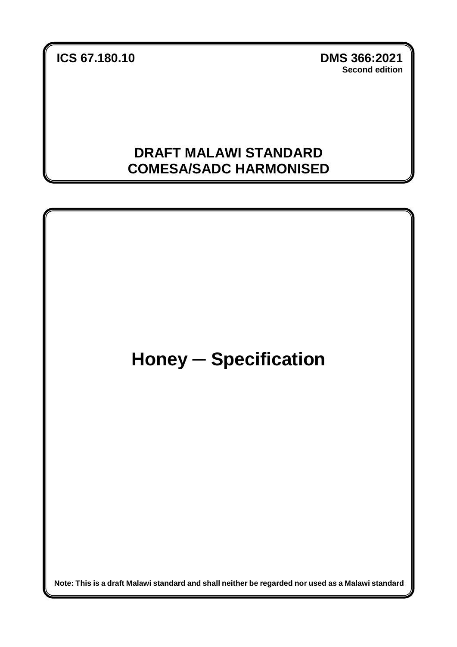**ICS 67.180.10 DMS 366:2021**

**Second edition**

## **DRAFT MALAWI STANDARD COMESA/SADC HARMONISED**



**Note: This is a draft Malawi standard and shall neither be regarded nor used as a Malawi standard**

**Published by**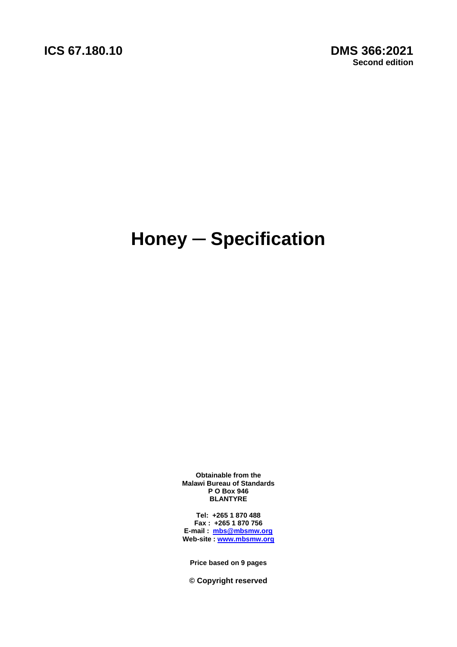# **Honey ─ Specification**

**Obtainable from the Malawi Bureau of Standards P O Box 946 BLANTYRE**

**Tel: +265 1 870 488 Fax : +265 1 870 756 E-mail : [mbs@mbsmw.org](mailto:mbs@malawi.net) Web-site : [www.mbsmw.org](http://www.mbsmw.org/)**

**Price based on 9 pages**

**© Copyright reserved**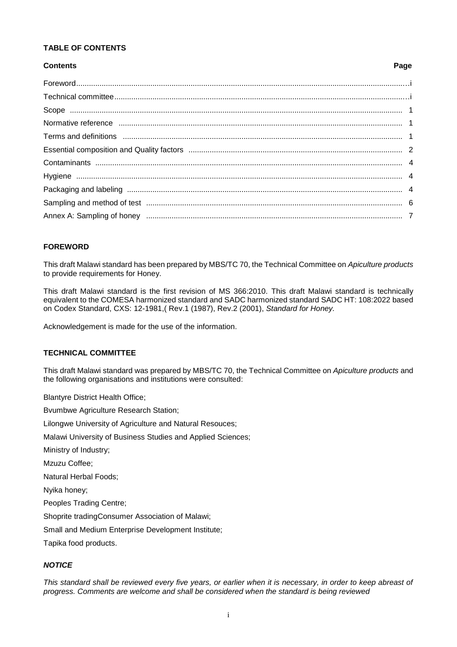### **TABLE OF CONTENTS**

### **Contents Page**

### **FOREWORD**

This draft Malawi standard has been prepared by MBS/TC 70, the Technical Committee on *Apiculture products*  to provide requirements for Honey.

This draft Malawi standard is the first revision of MS 366:2010. This draft Malawi standard is technically equivalent to the COMESA harmonized standard and SADC harmonized standard SADC HT: 108:2022 based on Codex Standard, CXS: 12-1981,( Rev.1 (1987), Rev.2 (2001), *Standard for Honey.*

Acknowledgement is made for the use of the information.

### **TECHNICAL COMMITTEE**

This draft Malawi standard was prepared by MBS/TC 70, the Technical Committee on *Apiculture products* and the following organisations and institutions were consulted:

Blantyre District Health Office;

Bvumbwe Agriculture Research Station; Lilongwe University of Agriculture and Natural Resouces; Malawi University of Business Studies and Applied Sciences; Ministry of Industry; Mzuzu Coffee; Natural Herbal Foods; Nyika honey; Peoples Trading Centre; Shoprite tradingConsumer Association of Malawi; Small and Medium Enterprise Development Institute; Tapika food products.

### *NOTICE*

This standard shall be reviewed every five years, or earlier when it is necessary, in order to keep abreast of *progress. Comments are welcome and shall be considered when the standard is being reviewed*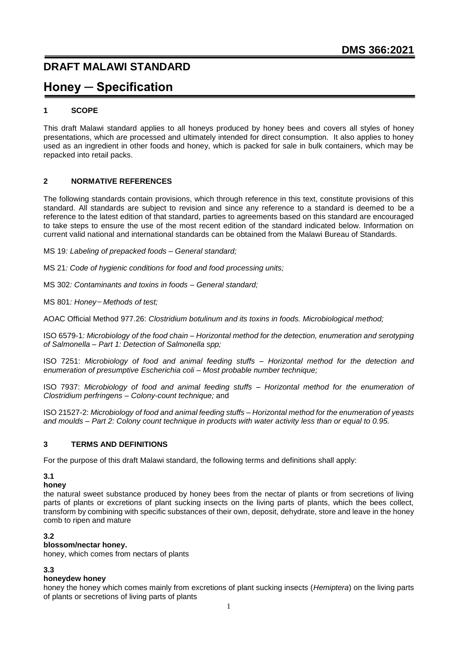### **DRAFT MALAWI STANDARD**

## **Honey ─ Specification**

### **1 SCOPE**

This draft Malawi standard applies to all honeys produced by honey bees and covers all styles of honey presentations, which are processed and ultimately intended for direct consumption. It also applies to honey used as an ingredient in other foods and honey, which is packed for sale in bulk containers, which may be repacked into retail packs.

### **2 NORMATIVE REFERENCES**

The following standards contain provisions, which through reference in this text, constitute provisions of this standard. All standards are subject to revision and since any reference to a standard is deemed to be a reference to the latest edition of that standard, parties to agreements based on this standard are encouraged to take steps to ensure the use of the most recent edition of the standard indicated below. Information on current valid national and international standards can be obtained from the Malawi Bureau of Standards.

MS 19*: Labeling of prepacked foods – General standard;*

MS 21*: Code of hygienic conditions for food and food processing units;*

MS 302*: Contaminants and toxins in foods – General standard;*

MS 801*: Honey* ̶*Methods of test;*

AOAC Official Method 977.26: *Clostridium botulinum and its toxins in foods. Microbiological method;*

ISO 6579-1*: Microbiology of the food chain – Horizontal method for the detection, enumeration and serotyping of Salmonella – Part 1: Detection of Salmonella spp;*

ISO 7251: *Microbiology of food and animal feeding stuffs – Horizontal method for the detection and enumeration of presumptive Escherichia coli – Most probable number technique;*

ISO 7937: *Microbiology of food and animal feeding stuffs – Horizontal method for the enumeration of Clostridium perfringens – Colony-count technique;* and

ISO 21527-2: *Microbiology of food and animal feeding stuffs – Horizontal method for the enumeration of yeasts and moulds – Part 2: Colony count technique in products with water activity less than or equal to 0.95.*

### **3 TERMS AND DEFINITIONS**

For the purpose of this draft Malawi standard, the following terms and definitions shall apply:

### **3.1**

### **honey**

the natural sweet substance produced by honey bees from the nectar of plants or from secretions of living parts of plants or excretions of plant sucking insects on the living parts of plants, which the bees collect, transform by combining with specific substances of their own, deposit, dehydrate, store and leave in the honey comb to ripen and mature

### **3.2**

### **blossom/nectar honey.**

honey, which comes from nectars of plants

### **3.3**

### **honeydew honey**

honey the honey which comes mainly from excretions of plant sucking insects (*Hemiptera*) on the living parts of plants or secretions of living parts of plants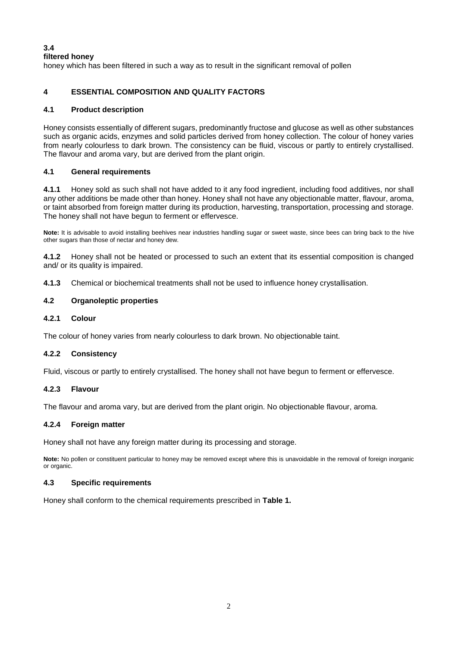### **3.4**

### **filtered honey**

honey which has been filtered in such a way as to result in the significant removal of pollen

### **4 ESSENTIAL COMPOSITION AND QUALITY FACTORS**

### **4.1 Product description**

Honey consists essentially of different sugars, predominantly fructose and glucose as well as other substances such as organic acids, enzymes and solid particles derived from honey collection. The colour of honey varies from nearly colourless to dark brown. The consistency can be fluid, viscous or partly to entirely crystallised. The flavour and aroma vary, but are derived from the plant origin.

### **4.1 General requirements**

**4.1.1** Honey sold as such shall not have added to it any food ingredient, including food additives, nor shall any other additions be made other than honey. Honey shall not have any objectionable matter, flavour, aroma, or taint absorbed from foreign matter during its production, harvesting, transportation, processing and storage. The honey shall not have begun to ferment or effervesce.

**Note:** It is advisable to avoid installing beehives near industries handling sugar or sweet waste, since bees can bring back to the hive other sugars than those of nectar and honey dew.

**4.1.2** Honey shall not be heated or processed to such an extent that its essential composition is changed and/ or its quality is impaired.

**4.1.3** Chemical or biochemical treatments shall not be used to influence honey crystallisation.

### **4.2 Organoleptic properties**

### **4.2.1 Colour**

The colour of honey varies from nearly colourless to dark brown. No objectionable taint.

### **4.2.2 Consistency**

Fluid, viscous or partly to entirely crystallised. The honey shall not have begun to ferment or effervesce.

### **4.2.3 Flavour**

The flavour and aroma vary, but are derived from the plant origin. No objectionable flavour, aroma.

### **4.2.4 Foreign matter**

Honey shall not have any foreign matter during its processing and storage.

**Note:** No pollen or constituent particular to honey may be removed except where this is unavoidable in the removal of foreign inorganic or organic.

### **4.3 Specific requirements**

Honey shall conform to the chemical requirements prescribed in **Table 1.**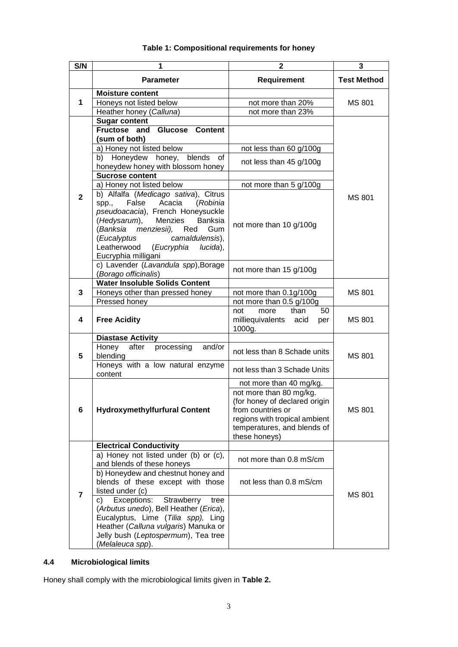| S/N            | 1                                                                                                                                                                                                                                                                                                   | $\mathbf 2$                                                                                                                                                                               | 3                  |  |
|----------------|-----------------------------------------------------------------------------------------------------------------------------------------------------------------------------------------------------------------------------------------------------------------------------------------------------|-------------------------------------------------------------------------------------------------------------------------------------------------------------------------------------------|--------------------|--|
|                | <b>Parameter</b>                                                                                                                                                                                                                                                                                    | <b>Requirement</b>                                                                                                                                                                        | <b>Test Method</b> |  |
| $\mathbf 1$    | <b>Moisture content</b>                                                                                                                                                                                                                                                                             |                                                                                                                                                                                           |                    |  |
|                | Honeys not listed below                                                                                                                                                                                                                                                                             | not more than 20%                                                                                                                                                                         | <b>MS 801</b>      |  |
|                | Heather honey (Calluna)                                                                                                                                                                                                                                                                             | not more than 23%                                                                                                                                                                         |                    |  |
|                | <b>Sugar content</b><br>Fructose and<br>Glucose<br><b>Content</b><br>(sum of both)                                                                                                                                                                                                                  |                                                                                                                                                                                           |                    |  |
|                | a) Honey not listed below                                                                                                                                                                                                                                                                           | not less than 60 g/100g                                                                                                                                                                   |                    |  |
|                | b) Honeydew honey,<br>blends<br>0f<br>honeydew honey with blossom honey                                                                                                                                                                                                                             | not less than 45 g/100g                                                                                                                                                                   |                    |  |
|                | <b>Sucrose content</b>                                                                                                                                                                                                                                                                              |                                                                                                                                                                                           |                    |  |
|                | a) Honey not listed below                                                                                                                                                                                                                                                                           | not more than 5 g/100g                                                                                                                                                                    |                    |  |
| $\mathbf{2}$   | b) Alfalfa (Medicago sativa), Citrus<br>False<br>Acacia<br>(Robinia<br>spp.,<br>pseudoacacia), French Honeysuckle<br>Menzies<br>(Hedysarum),<br><b>Banksia</b><br>(Banksia menziesii),<br>Red<br>Gum<br>(Eucalyptus<br>camaldulensis),<br>Leatherwood (Eucryphia<br>lucida),<br>Eucryphia milligani | not more than 10 g/100g                                                                                                                                                                   | <b>MS 801</b>      |  |
|                | c) Lavender (Lavandula spp), Borage                                                                                                                                                                                                                                                                 | not more than 15 g/100g                                                                                                                                                                   |                    |  |
|                | (Borago officinalis)                                                                                                                                                                                                                                                                                |                                                                                                                                                                                           |                    |  |
|                | <b>Water Insoluble Solids Content</b>                                                                                                                                                                                                                                                               |                                                                                                                                                                                           |                    |  |
| 3              | Honeys other than pressed honey                                                                                                                                                                                                                                                                     | not more than 0.1g/100g                                                                                                                                                                   | <b>MS 801</b>      |  |
|                | Pressed honey                                                                                                                                                                                                                                                                                       | not more than 0.5 g/100g                                                                                                                                                                  |                    |  |
| 4              | <b>Free Acidity</b>                                                                                                                                                                                                                                                                                 | more<br>than<br>50<br>not<br>milliequivalents<br>acid<br>per<br>1000g.                                                                                                                    | <b>MS 801</b>      |  |
|                | <b>Diastase Activity</b>                                                                                                                                                                                                                                                                            |                                                                                                                                                                                           |                    |  |
| 5              | Honey<br>after<br>processing<br>and/or<br>blending                                                                                                                                                                                                                                                  | not less than 8 Schade units                                                                                                                                                              | <b>MS 801</b>      |  |
|                | Honeys with a low natural enzyme<br>content                                                                                                                                                                                                                                                         | not less than 3 Schade Units                                                                                                                                                              |                    |  |
| 6              | <b>Hydroxymethylfurfural Content</b>                                                                                                                                                                                                                                                                | not more than 40 mg/kg.<br>not more than 80 mg/kg.<br>(for honey of declared origin<br>from countries or<br>regions with tropical ambient<br>temperatures, and blends of<br>these honeys) | <b>MS 801</b>      |  |
|                | <b>Electrical Conductivity</b>                                                                                                                                                                                                                                                                      |                                                                                                                                                                                           |                    |  |
| $\overline{7}$ | a) Honey not listed under (b) or (c),<br>and blends of these honeys                                                                                                                                                                                                                                 | not more than 0.8 mS/cm                                                                                                                                                                   |                    |  |
|                | b) Honeydew and chestnut honey and<br>blends of these except with those<br>listed under (c)                                                                                                                                                                                                         | not less than 0.8 mS/cm                                                                                                                                                                   | <b>MS 801</b>      |  |
|                | Exceptions:<br>Strawberry<br>tree<br>C)<br>(Arbutus unedo), Bell Heather (Erica),<br>Eucalyptus, Lime (Tilia spp), Ling<br>Heather (Calluna vulgaris) Manuka or<br>Jelly bush (Leptospermum), Tea tree<br>(Melaleuca spp).                                                                          |                                                                                                                                                                                           |                    |  |

### **Table 1: Compositional requirements for honey**

### **4.4 Microbiological limits**

Honey shall comply with the microbiological limits given in **Table 2.**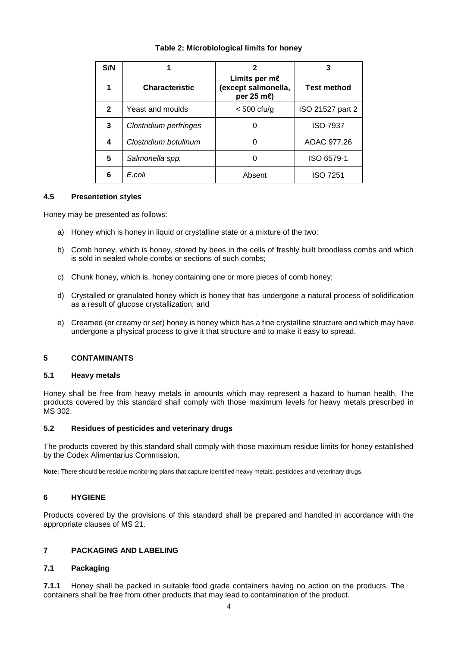### **Table 2: Microbiological limits for honey**

| S/N          | 1                      | 2                                                  |                    |
|--------------|------------------------|----------------------------------------------------|--------------------|
|              | <b>Characteristic</b>  | Limits per me<br>(except salmonella,<br>per 25 ml) | <b>Test method</b> |
| $\mathbf{2}$ | Yeast and moulds       | $< 500$ cfu/g                                      | ISO 21527 part 2   |
| 3            | Clostridium perfringes |                                                    | <b>ISO 7937</b>    |
| 4            | Clostridium botulinum  | Ω                                                  | AOAC 977.26        |
| 5            | Salmonella spp.        |                                                    | ISO 6579-1         |
| 6            | E coli                 | Absent                                             | <b>ISO 7251</b>    |

### **4.5 Presentetion styles**

Honey may be presented as follows:

- a) Honey which is honey in liquid or crystalline state or a mixture of the two;
- b) Comb honey, which is honey, stored by bees in the cells of freshly built broodless combs and which is sold in sealed whole combs or sections of such combs;
- c) Chunk honey, which is, honey containing one or more pieces of comb honey;
- d) Crystalled or granulated honey which is honey that has undergone a natural process of solidification as a result of glucose crystallization; and
- e) Creamed (or creamy or set) honey is honey which has a fine crystalline structure and which may have undergone a physical process to give it that structure and to make it easy to spread.

### **5 CONTAMINANTS**

### **5.1 Heavy metals**

Honey shall be free from heavy metals in amounts which may represent a hazard to human health. The products covered by this standard shall comply with those maximum levels for heavy metals prescribed in MS 302.

### **5.2 Residues of pesticides and veterinary drugs**

The products covered by this standard shall comply with those maximum residue limits for honey established by the Codex Alimentarius Commission.

**Note:** There should be residue monitoring plans that capture identified heavy metals, pesticides and veterinary drugs.

### **6 HYGIENE**

Products covered by the provisions of this standard shall be prepared and handled in accordance with the appropriate clauses of MS 21.

### **7 PACKAGING AND LABELING**

### **7.1 Packaging**

**7.1.1** Honey shall be packed in suitable food grade containers having no action on the products. The containers shall be free from other products that may lead to contamination of the product.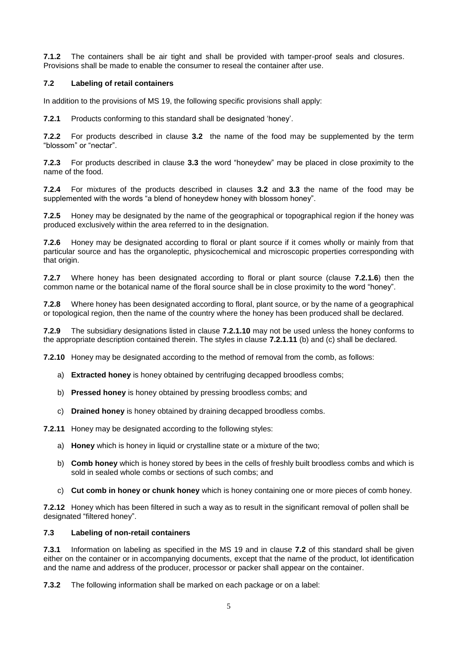**7.1.2** The containers shall be air tight and shall be provided with tamper-proof seals and closures. Provisions shall be made to enable the consumer to reseal the container after use.

### **7.2 Labeling of retail containers**

In addition to the provisions of MS 19, the following specific provisions shall apply:

**7.2.1** Products conforming to this standard shall be designated 'honey'.

**7.2.2** For products described in clause **3.2** the name of the food may be supplemented by the term "blossom" or "nectar".

**7.2.3** For products described in clause **3.3** the word "honeydew" may be placed in close proximity to the name of the food.

**7.2.4** For mixtures of the products described in clauses **3.2** and **3.3** the name of the food may be supplemented with the words "a blend of honeydew honey with blossom honey".

**7.2.5** Honey may be designated by the name of the geographical or topographical region if the honey was produced exclusively within the area referred to in the designation.

**7.2.6** Honey may be designated according to floral or plant source if it comes wholly or mainly from that particular source and has the organoleptic, physicochemical and microscopic properties corresponding with that origin.

**7.2.7** Where honey has been designated according to floral or plant source (clause **7.2.1.6**) then the common name or the botanical name of the floral source shall be in close proximity to the word "honey".

**7.2.8** Where honey has been designated according to floral, plant source, or by the name of a geographical or topological region, then the name of the country where the honey has been produced shall be declared.

**7.2.9** The subsidiary designations listed in clause **7.2.1.10** may not be used unless the honey conforms to the appropriate description contained therein. The styles in clause **7.2.1.11** (b) and (c) shall be declared.

**7.2.10** Honey may be designated according to the method of removal from the comb, as follows:

- a) **Extracted honey** is honey obtained by centrifuging decapped broodless combs;
- b) **Pressed honey** is honey obtained by pressing broodless combs; and
- c) **Drained honey** is honey obtained by draining decapped broodless combs.

**7.2.11** Honey may be designated according to the following styles:

- a) **Honey** which is honey in liquid or crystalline state or a mixture of the two;
- b) **Comb honey** which is honey stored by bees in the cells of freshly built broodless combs and which is sold in sealed whole combs or sections of such combs; and
- c) **Cut comb in honey or chunk honey** which is honey containing one or more pieces of comb honey.

**7.2.12** Honey which has been filtered in such a way as to result in the significant removal of pollen shall be designated "filtered honey".

### **7.3 Labeling of non-retail containers**

**7.3.1** Information on labeling as specified in the MS 19 and in clause **7.2** of this standard shall be given either on the container or in accompanying documents, except that the name of the product, lot identification and the name and address of the producer, processor or packer shall appear on the container.

**7.3.2** The following information shall be marked on each package or on a label: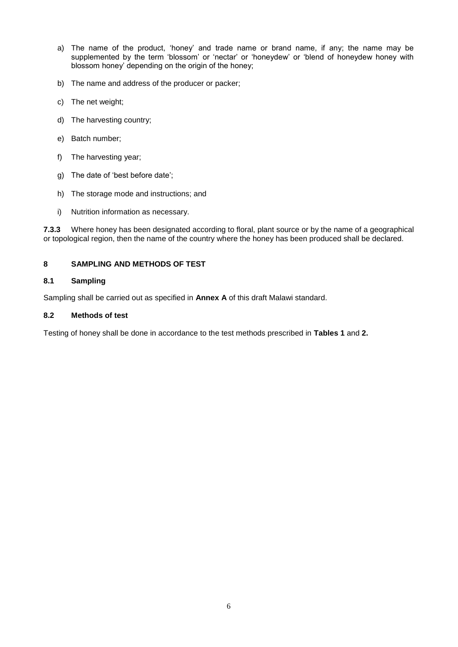- a) The name of the product, 'honey' and trade name or brand name, if any; the name may be supplemented by the term 'blossom' or 'nectar' or 'honeydew' or 'blend of honeydew honey with blossom honey' depending on the origin of the honey;
- b) The name and address of the producer or packer;
- c) The net weight;
- d) The harvesting country;
- e) Batch number;
- f) The harvesting year;
- g) The date of 'best before date';
- h) The storage mode and instructions; and
- i) Nutrition information as necessary.

**7.3.3** Where honey has been designated according to floral, plant source or by the name of a geographical or topological region, then the name of the country where the honey has been produced shall be declared.

### **8 SAMPLING AND METHODS OF TEST**

### **8.1 Sampling**

Sampling shall be carried out as specified in **Annex A** of this draft Malawi standard.

### **8.2 Methods of test**

Testing of honey shall be done in accordance to the test methods prescribed in **Tables 1** and **2.**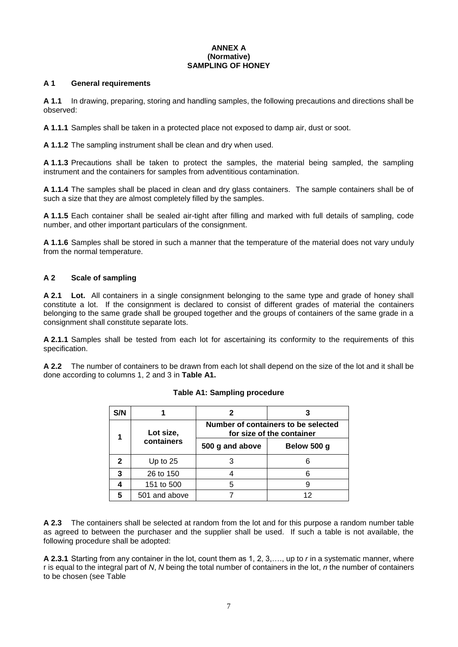### **ANNEX A (Normative) SAMPLING OF HONEY**

### **A 1 General requirements**

**A 1.1** In drawing, preparing, storing and handling samples, the following precautions and directions shall be observed:

**A 1.1.1** Samples shall be taken in a protected place not exposed to damp air, dust or soot.

**A 1.1.2** The sampling instrument shall be clean and dry when used.

**A 1.1.3** Precautions shall be taken to protect the samples, the material being sampled, the sampling instrument and the containers for samples from adventitious contamination.

**A 1.1.4** The samples shall be placed in clean and dry glass containers. The sample containers shall be of such a size that they are almost completely filled by the samples.

**A 1.1.5** Each container shall be sealed air-tight after filling and marked with full details of sampling, code number, and other important particulars of the consignment.

**A 1.1.6** Samples shall be stored in such a manner that the temperature of the material does not vary unduly from the normal temperature.

### **A 2 Scale of sampling**

**A 2.1 Lot.** All containers in a single consignment belonging to the same type and grade of honey shall constitute a lot. If the consignment is declared to consist of different grades of material the containers belonging to the same grade shall be grouped together and the groups of containers of the same grade in a consignment shall constitute separate lots.

**A 2.1.1** Samples shall be tested from each lot for ascertaining its conformity to the requirements of this specification.

**A 2.2** The number of containers to be drawn from each lot shall depend on the size of the lot and it shall be done according to columns 1, 2 and 3 in **Table A1.**

| S/N |                         |                                                                  |             |  |
|-----|-------------------------|------------------------------------------------------------------|-------------|--|
|     | Lot size,<br>containers | Number of containers to be selected<br>for size of the container |             |  |
|     |                         | 500 g and above                                                  | Below 500 g |  |
| 2   | Up to $25$              |                                                                  |             |  |
| 3   | 26 to 150               |                                                                  |             |  |
|     | 151 to 500              |                                                                  |             |  |
|     | 501 and above           |                                                                  | 12          |  |

### **Table A1: Sampling procedure**

**A 2.3** The containers shall be selected at random from the lot and for this purpose a random number table as agreed to between the purchaser and the supplier shall be used. If such a table is not available, the following procedure shall be adopted:

**A 2.3.1** Starting from any container in the lot, count them as 1, 2, 3,…., up to *r* in a systematic manner, where r is equal to the integral part of *N*, *N* being the total number of containers in the lot, *n* the number of containers to be chosen (see Table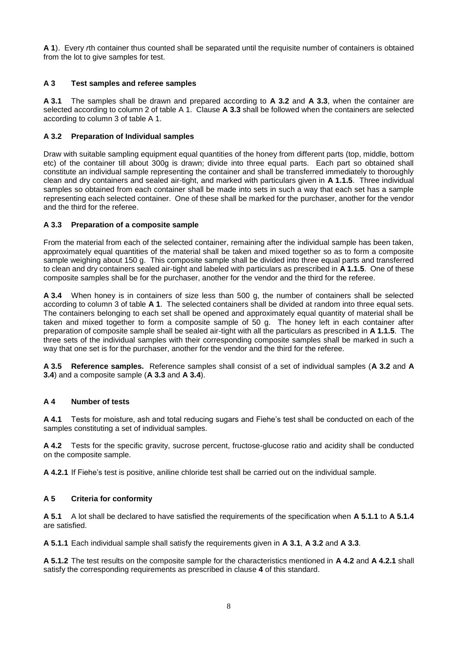**A 1**). Every *r*th container thus counted shall be separated until the requisite number of containers is obtained from the lot to give samples for test.

### **A 3 Test samples and referee samples**

**A 3.1** The samples shall be drawn and prepared according to **A 3.2** and **A 3.3**, when the container are selected according to column 2 of table A 1. Clause **A 3.3** shall be followed when the containers are selected according to column 3 of table A 1.

### **A 3.2 Preparation of Individual samples**

Draw with suitable sampling equipment equal quantities of the honey from different parts (top, middle, bottom etc) of the container till about 300g is drawn; divide into three equal parts. Each part so obtained shall constitute an individual sample representing the container and shall be transferred immediately to thoroughly clean and dry containers and sealed air-tight, and marked with particulars given in **A 1.1.5**. Three individual samples so obtained from each container shall be made into sets in such a way that each set has a sample representing each selected container. One of these shall be marked for the purchaser, another for the vendor and the third for the referee.

### **A 3.3 Preparation of a composite sample**

From the material from each of the selected container, remaining after the individual sample has been taken, approximately equal quantities of the material shall be taken and mixed together so as to form a composite sample weighing about 150 g. This composite sample shall be divided into three equal parts and transferred to clean and dry containers sealed air-tight and labeled with particulars as prescribed in **A 1.1.5**. One of these composite samples shall be for the purchaser, another for the vendor and the third for the referee.

**A 3.4** When honey is in containers of size less than 500 g, the number of containers shall be selected according to column 3 of table **A 1**. The selected containers shall be divided at random into three equal sets. The containers belonging to each set shall be opened and approximately equal quantity of material shall be taken and mixed together to form a composite sample of 50 g. The honey left in each container after preparation of composite sample shall be sealed air-tight with all the particulars as prescribed in **A 1.1.5**. The three sets of the individual samples with their corresponding composite samples shall be marked in such a way that one set is for the purchaser, another for the vendor and the third for the referee.

**A 3.5 Reference samples.** Reference samples shall consist of a set of individual samples (**A 3.2** and **A 3.4**) and a composite sample (**A 3.3** and **A 3.4**).

### **A 4 Number of tests**

**A 4.1** Tests for moisture, ash and total reducing sugars and Fiehe's test shall be conducted on each of the samples constituting a set of individual samples.

**A 4.2** Tests for the specific gravity, sucrose percent, fructose-glucose ratio and acidity shall be conducted on the composite sample.

**A 4.2.1** If Fiehe's test is positive, aniline chloride test shall be carried out on the individual sample.

### **A 5 Criteria for conformity**

**A 5.1** A lot shall be declared to have satisfied the requirements of the specification when **A 5.1.1** to **A 5.1.4** are satisfied.

**A 5.1.1** Each individual sample shall satisfy the requirements given in **A 3.1**, **A 3.2** and **A 3.3**.

**A 5.1.2** The test results on the composite sample for the characteristics mentioned in **A 4.2** and **A 4.2.1** shall satisfy the corresponding requirements as prescribed in clause **4** of this standard.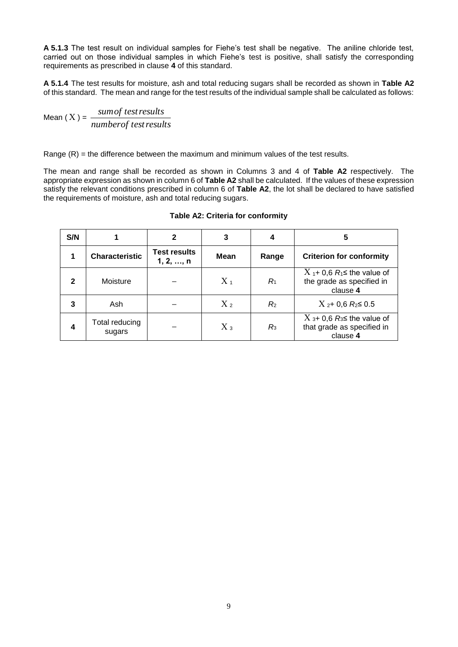**A 5.1.3** The test result on individual samples for Fiehe's test shall be negative. The aniline chloride test, carried out on those individual samples in which Fiehe's test is positive, shall satisfy the corresponding requirements as prescribed in clause **4** of this standard.

**A 5.1.4** The test results for moisture, ash and total reducing sugars shall be recorded as shown in **Table A2** of this standard. The mean and range for the test results of the individual sample shall be calculated as follows:

Mean ( ) = *numberof testresults sumof testresults*

Range  $(R)$  = the difference between the maximum and minimum values of the test results.

The mean and range shall be recorded as shown in Columns 3 and 4 of **Table A2** respectively. The appropriate expression as shown in column 6 of **Table A2** shall be calculated. If the values of these expression satisfy the relevant conditions prescribed in column 6 of **Table A2**, the lot shall be declared to have satisfied the requirements of moisture, ash and total reducing sugars.

| S/N                     |                          |                                  | 3     |         | 5                                                                             |
|-------------------------|--------------------------|----------------------------------|-------|---------|-------------------------------------------------------------------------------|
| 1                       | <b>Characteristic</b>    | <b>Test results</b><br>1, 2, , n | Mean  | Range   | <b>Criterion for conformity</b>                                               |
| $\mathbf{2}$            | Moisture                 |                                  | $X_1$ | $R_1$   | $X_1 + 0.6 R_1 \leq$ the value of<br>the grade as specified in<br>clause 4    |
| 3                       | Ash                      |                                  | $X_2$ | $R_{2}$ | $X_{2}$ + 0,6 $R_2$ ≤ 0.5                                                     |
| $\overline{\mathbf{4}}$ | Total reducing<br>sugars |                                  | $X_3$ | $R_3$   | $X_3 + 0,6$ $R_3 \leq$ the value of<br>that grade as specified in<br>clause 4 |

### **Table A2: Criteria for conformity**